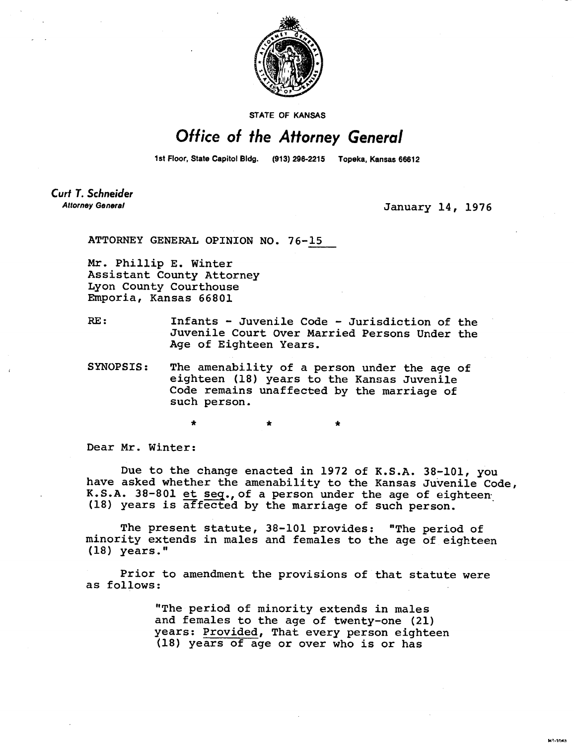

STATE OF KANSAS

## Office of the Attorney General

1st Floor, State Capitol Bldg. (913) 296-2215 Topeka, Kansas 66612

Curt T. Schneider **Attorney General** 

**January 14, 1976** 

wt. tn4a

**ATTORNEY GENERAL OPINION NO. 76-15** 

**Mr. Phillip E. Winter Assistant County Attorney Lyon County Courthouse Emporia, Kansas 66801** 

**RE: Infants - Juvenile Code - Jurisdiction of the Juvenile Court Over Married Persons Under the Age of Eighteen Years.** 

**SYNOPSIS: The amenability of a person under the age of eighteen (18) years to the Kansas Juvenile Code remains unaffected by the marriage of such person.** 

\* \*

**Dear Mr. Winter:** 

**Due to the change enacted in 1972 of K.S.A. 38-101, you have asked whether the amenability to the Kansas Juvenile Code,**  K.S.A. 38-801 et seq., of a person under the age of eighteen<sub>.</sub> (18) years is affected by the marriage of such person.

**The present statute, 38-101 provides: "The period of minority extends in males and females to the age of eighteen (18) years."** 

**Prior to amendment the provisions of that statute were as follows:** 

> **"The period of minority extends in males and females to the age of twenty-one (21) years: Provided, That every person eighteen (18) years of age or over who is or has**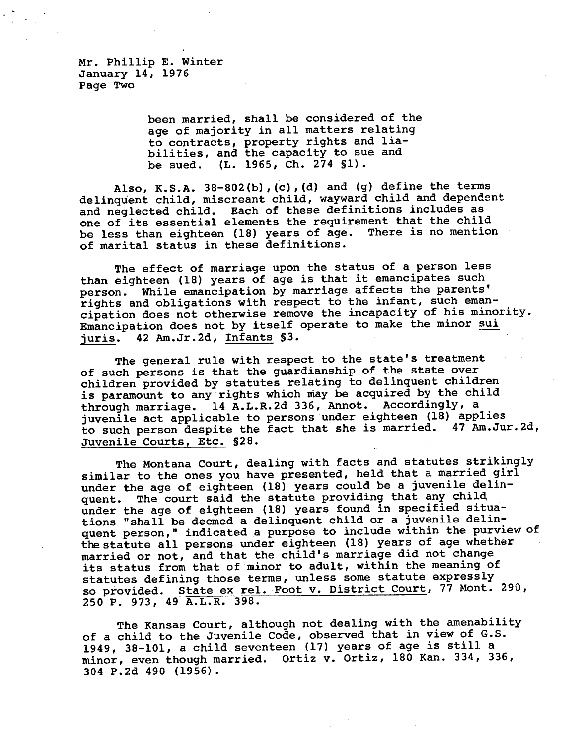Mr. Phillip E. Winter January 14, 1976 Page Two

> **been married, shall be considered of the age of majority in all matters relating to contracts, property rights and liabilities, and the capacity to sue and be sued. (L. 1965, Ch. 274 Si).**

**Also, K.S.A. 38-802(b),(c),(d) and (g) define the terms delinquent child, miscreant child, wayward child and dependent and neglected child. Each of these definitions includes as one of its essential elements the requirement that the child be less than eighteen (18) years of age. There is no mention of marital status in these definitions.** 

**The effect of marriage upon the status of a person less than eighteen (18) years of age is that it emancipates such person. While emancipation by marriage affects the parents' rights and obligations with respect to the infant, such emancipation does not otherwise remove the incapacity of his minority. Emancipation does not by itself operate to make the minor sui juris. 42 Am.Jr.2d, Infants §3.** 

**The general rule with respect to the state's treatment of such persons is that the guardianship of the state over children provided by statutes relating to delinquent children is paramount to any rights which may be acquired by the child through marriage. 14 A.L.R.2d 336, Annot. Accordingly, a juvenile act applicable to persons under eighteen (18) applies to such person despite the fact that she is married. 47 Am.Jur.2d, Juvenile Courts, Etc. §28.** 

**The Montana Court, dealing with facts and statutes strikingly similar to the ones you have presented, held that** a **married girl under the age of eighteen (18) years could be a juvenile delinquent. The court said the statute providing that any child under the age of eighteen (18) years found in specified situations "shall be deemed a delinquent child or a juvenile delinquent person," indicated a purpose to include within the purview of the statute all persons under eighteen (18) years of age whether married or not, and that the child's marriage did not change its status from that of minor to adult, within the meaning of statutes defining those terms, unless some statute expressly so provided. State ex rel. Foot v. District Court, 77 Mont. 290, 250 P. 973, 49 A.L.R. 398.** 

**The Kansas Court, although not dealing with the amenability of a child to the Juvenile Code, observed that in view of G.S. 1949, 38-101, a child seventeen (17) years of age is still a minor, even though married. Ortiz v. Ortiz, 180 Kan. 334, 336, 304 P.2d 490 (1956).**